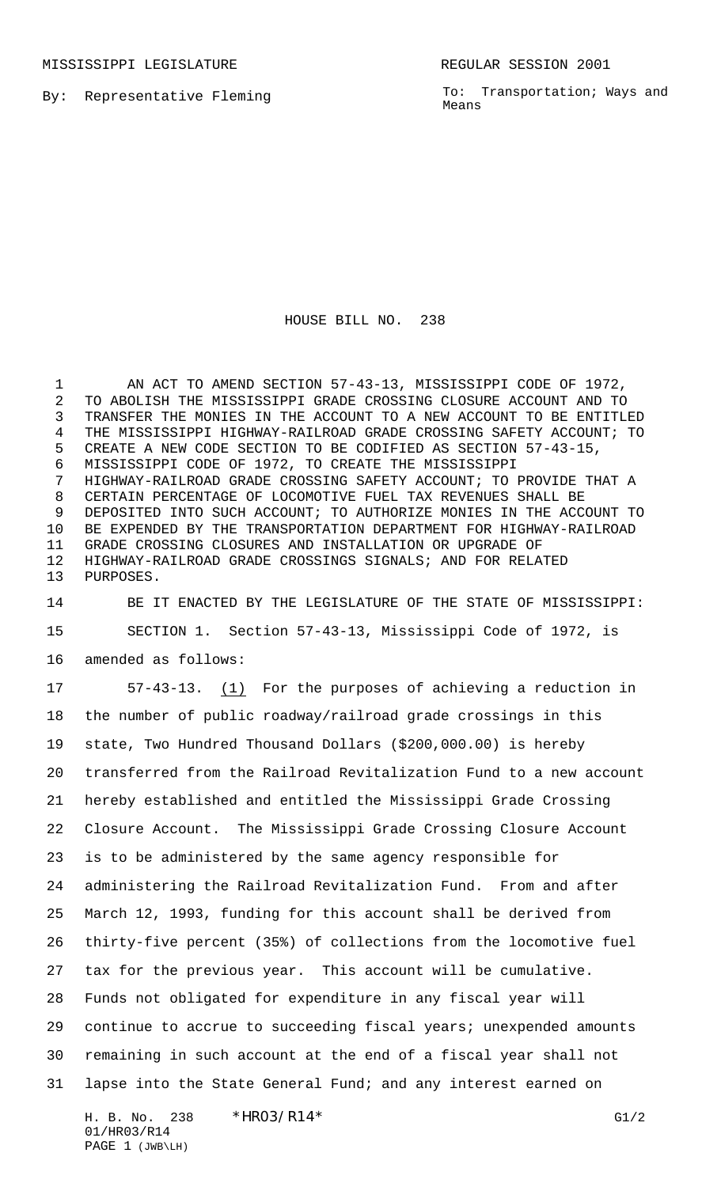MISSISSIPPI LEGISLATURE **REGULAR SESSION 2001** 

By: Representative Fleming

To: Transportation; Ways and Means

## HOUSE BILL NO. 238

1 AN ACT TO AMEND SECTION 57-43-13, MISSISSIPPI CODE OF 1972, TO ABOLISH THE MISSISSIPPI GRADE CROSSING CLOSURE ACCOUNT AND TO TRANSFER THE MONIES IN THE ACCOUNT TO A NEW ACCOUNT TO BE ENTITLED THE MISSISSIPPI HIGHWAY-RAILROAD GRADE CROSSING SAFETY ACCOUNT; TO CREATE A NEW CODE SECTION TO BE CODIFIED AS SECTION 57-43-15, MISSISSIPPI CODE OF 1972, TO CREATE THE MISSISSIPPI HIGHWAY-RAILROAD GRADE CROSSING SAFETY ACCOUNT; TO PROVIDE THAT A CERTAIN PERCENTAGE OF LOCOMOTIVE FUEL TAX REVENUES SHALL BE DEPOSITED INTO SUCH ACCOUNT; TO AUTHORIZE MONIES IN THE ACCOUNT TO BE EXPENDED BY THE TRANSPORTATION DEPARTMENT FOR HIGHWAY-RAILROAD GRADE CROSSING CLOSURES AND INSTALLATION OR UPGRADE OF HIGHWAY-RAILROAD GRADE CROSSINGS SIGNALS; AND FOR RELATED PURPOSES.

 BE IT ENACTED BY THE LEGISLATURE OF THE STATE OF MISSISSIPPI: 15 SECTION 1. Section 57-43-13, Mississippi Code of 1972, is amended as follows:

 57-43-13. (1) For the purposes of achieving a reduction in the number of public roadway/railroad grade crossings in this state, Two Hundred Thousand Dollars (\$200,000.00) is hereby transferred from the Railroad Revitalization Fund to a new account hereby established and entitled the Mississippi Grade Crossing Closure Account. The Mississippi Grade Crossing Closure Account is to be administered by the same agency responsible for administering the Railroad Revitalization Fund. From and after March 12, 1993, funding for this account shall be derived from thirty-five percent (35%) of collections from the locomotive fuel tax for the previous year. This account will be cumulative. Funds not obligated for expenditure in any fiscal year will continue to accrue to succeeding fiscal years; unexpended amounts remaining in such account at the end of a fiscal year shall not lapse into the State General Fund; and any interest earned on

H. B. No. 238  $*HRO3/R14*$  G1/2 01/HR03/R14 PAGE 1 (JWB\LH)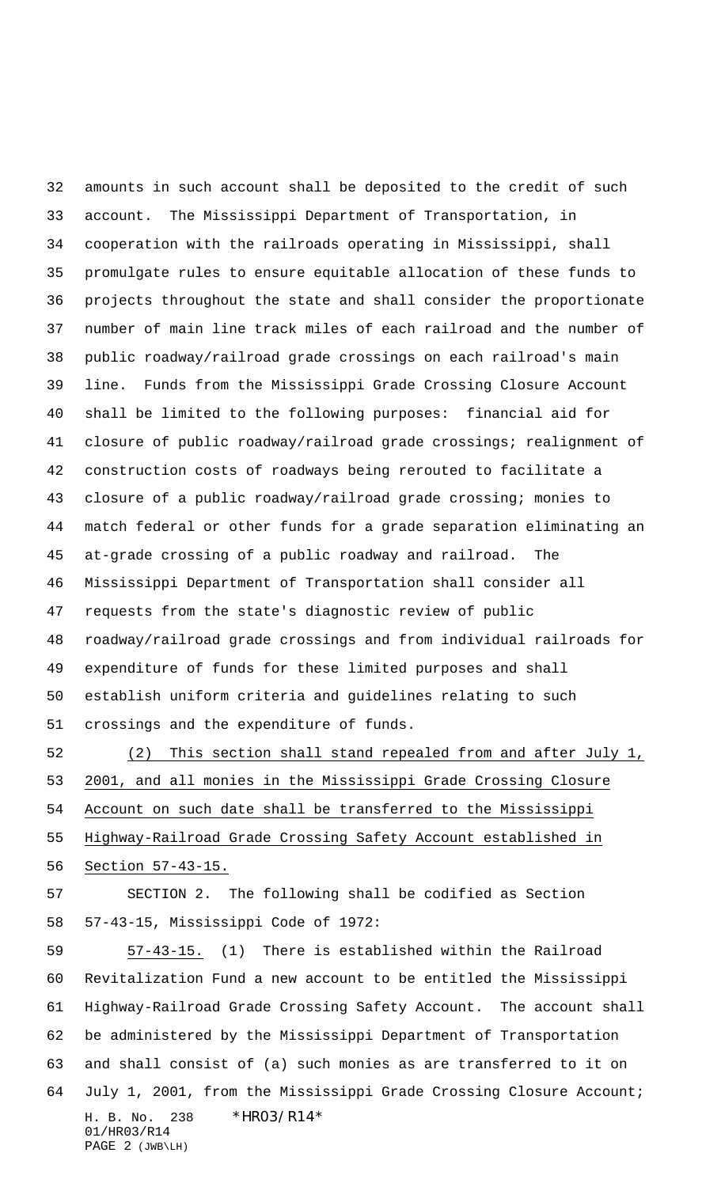amounts in such account shall be deposited to the credit of such account. The Mississippi Department of Transportation, in cooperation with the railroads operating in Mississippi, shall promulgate rules to ensure equitable allocation of these funds to projects throughout the state and shall consider the proportionate number of main line track miles of each railroad and the number of public roadway/railroad grade crossings on each railroad's main line. Funds from the Mississippi Grade Crossing Closure Account shall be limited to the following purposes: financial aid for closure of public roadway/railroad grade crossings; realignment of construction costs of roadways being rerouted to facilitate a closure of a public roadway/railroad grade crossing; monies to match federal or other funds for a grade separation eliminating an at-grade crossing of a public roadway and railroad. The Mississippi Department of Transportation shall consider all requests from the state's diagnostic review of public roadway/railroad grade crossings and from individual railroads for expenditure of funds for these limited purposes and shall establish uniform criteria and guidelines relating to such crossings and the expenditure of funds.

 (2) This section shall stand repealed from and after July 1, 2001, and all monies in the Mississippi Grade Crossing Closure Account on such date shall be transferred to the Mississippi Highway-Railroad Grade Crossing Safety Account established in Section 57-43-15.

 SECTION 2. The following shall be codified as Section 57-43-15, Mississippi Code of 1972:

H. B. No. 238 \* HRO3/R14\* 01/HR03/R14 PAGE 2 (JWB\LH) 57-43-15. (1) There is established within the Railroad Revitalization Fund a new account to be entitled the Mississippi Highway-Railroad Grade Crossing Safety Account. The account shall be administered by the Mississippi Department of Transportation and shall consist of (a) such monies as are transferred to it on July 1, 2001, from the Mississippi Grade Crossing Closure Account;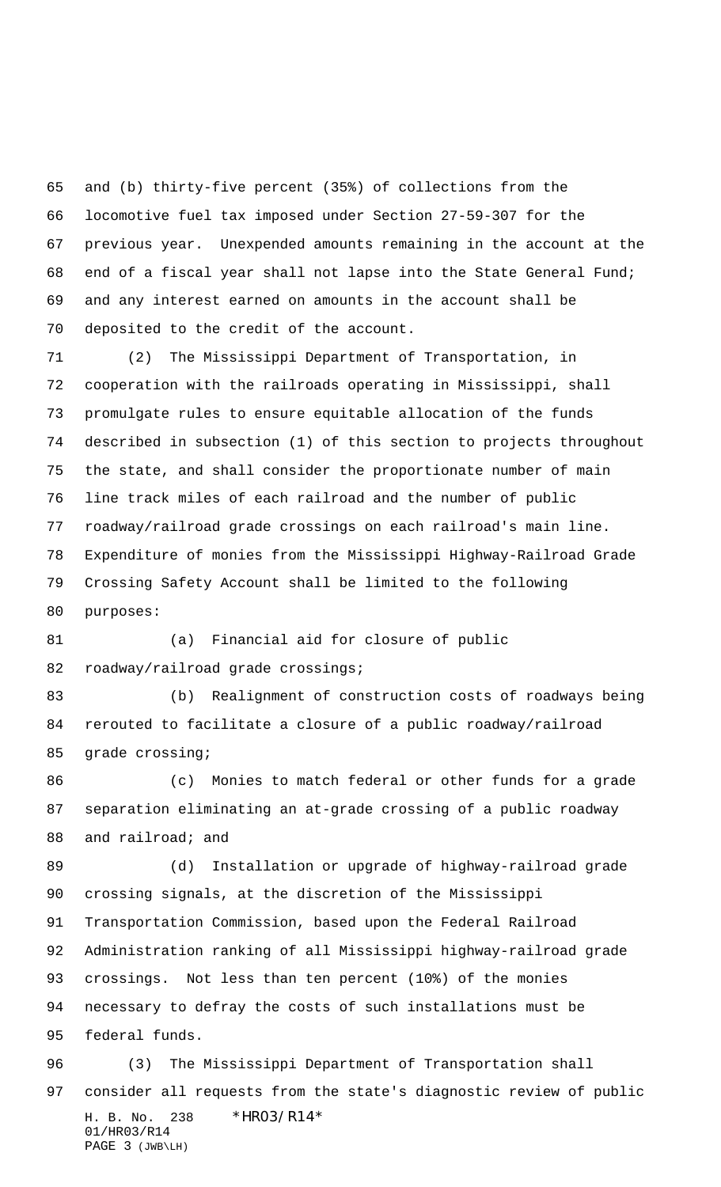and (b) thirty-five percent (35%) of collections from the locomotive fuel tax imposed under Section 27-59-307 for the previous year. Unexpended amounts remaining in the account at the end of a fiscal year shall not lapse into the State General Fund; and any interest earned on amounts in the account shall be deposited to the credit of the account.

 (2) The Mississippi Department of Transportation, in cooperation with the railroads operating in Mississippi, shall promulgate rules to ensure equitable allocation of the funds described in subsection (1) of this section to projects throughout the state, and shall consider the proportionate number of main line track miles of each railroad and the number of public roadway/railroad grade crossings on each railroad's main line. Expenditure of monies from the Mississippi Highway-Railroad Grade Crossing Safety Account shall be limited to the following purposes:

 (a) Financial aid for closure of public 82 roadway/railroad grade crossings;

 (b) Realignment of construction costs of roadways being rerouted to facilitate a closure of a public roadway/railroad grade crossing;

 (c) Monies to match federal or other funds for a grade separation eliminating an at-grade crossing of a public roadway and railroad; and

 (d) Installation or upgrade of highway-railroad grade crossing signals, at the discretion of the Mississippi Transportation Commission, based upon the Federal Railroad Administration ranking of all Mississippi highway-railroad grade crossings. Not less than ten percent (10%) of the monies necessary to defray the costs of such installations must be federal funds. (3) The Mississippi Department of Transportation shall

H. B. No. 238 \*HR03/R14\* 01/HR03/R14 PAGE 3 (JWB\LH) consider all requests from the state's diagnostic review of public